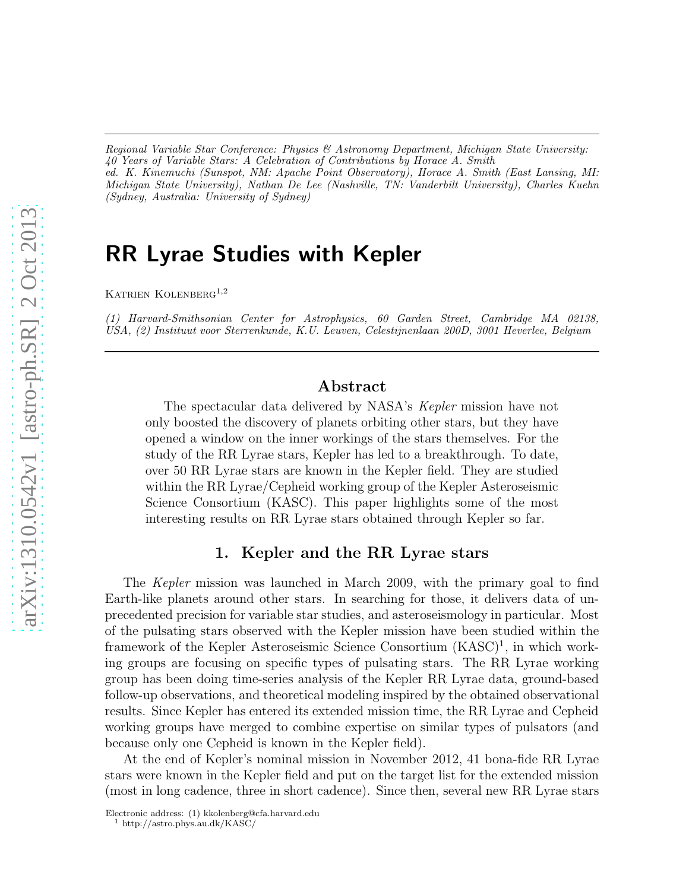*Regional Variable Star Conference: Physics & Astronomy Department, Michigan State University: 40 Years of Variable Stars: A Celebration of Contributions by Horace A. Smith ed. K. Kinemuchi (Sunspot, NM: Apache Point Observatory), Horace A. Smith (East Lansing, MI: Michigan State University), Nathan De Lee (Nashville, TN: Vanderbilt University), Charles Kuehn (Sydney, Australia: University of Sydney)*

# RR Lyrae Studies with Kepler

KATRIEN KOLENBERG<sup>1,2</sup>

*(1) Harvard-Smithsonian Center for Astrophysics, 60 Garden Street, Cambridge MA 02138, USA, (2) Instituut voor Sterrenkunde, K.U. Leuven, Celestijnenlaan 200D, 3001 Heverlee, Belgium*

## Abstract

The spectacular data delivered by NASA's Kepler mission have not only boosted the discovery of planets orbiting other stars, but they have opened a window on the inner workings of the stars themselves. For the study of the RR Lyrae stars, Kepler has led to a breakthrough. To date, over 50 RR Lyrae stars are known in the Kepler field. They are studied within the RR Lyrae/Cepheid working group of the Kepler Asteroseismic Science Consortium (KASC). This paper highlights some of the most interesting results on RR Lyrae stars obtained through Kepler so far.

# 1. Kepler and the RR Lyrae stars

The Kepler mission was launched in March 2009, with the primary goal to find Earth-like planets around other stars. In searching for those, it delivers data of unprecedented precision for variable star studies, and asteroseismology in particular. Most of the pulsating stars observed with the Kepler mission have been studied within the framework of the Kepler Asteroseismic Science Consortium (KASC)<sup>1</sup>, in which working groups are focusing on specific types of pulsating stars. The RR Lyrae working group has been doing time-series analysis of the Kepler RR Lyrae data, ground-based follow-up observations, and theoretical modeling inspired by the obtained observational results. Since Kepler has entered its extended mission time, the RR Lyrae and Cepheid working groups have merged to combine expertise on similar types of pulsators (and because only one Cepheid is known in the Kepler field).

At the end of Kepler's nominal mission in November 2012, 41 bona-fide RR Lyrae stars were known in the Kepler field and put on the target list for the extended mission (most in long cadence, three in short cadence). Since then, several new RR Lyrae stars

Electronic address: (1) kkolenberg@cfa.harvard.edu

 $^{\rm 1}$ http://astro.phys.au.dk/KASC/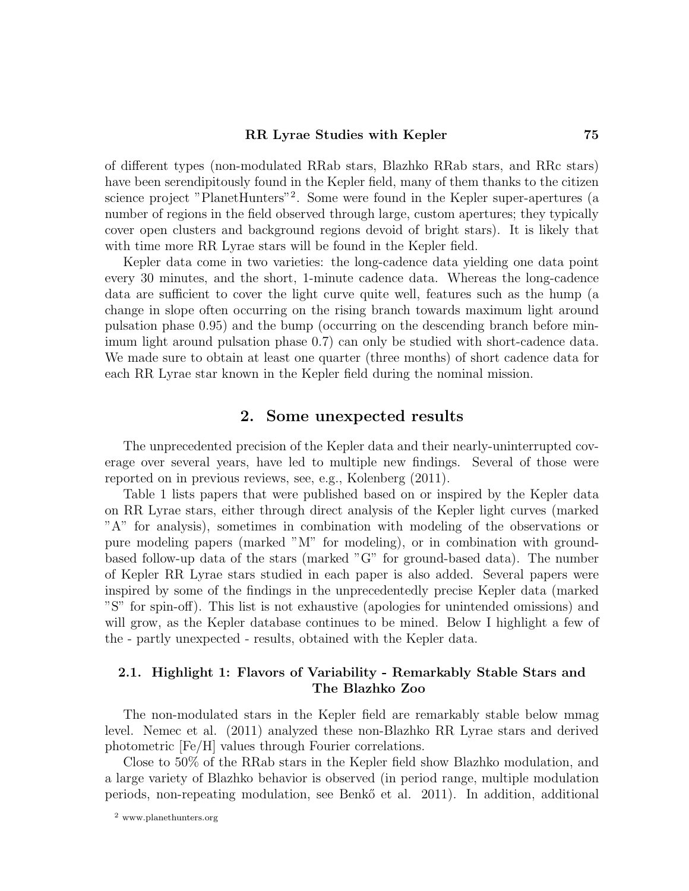#### RR Lyrae Studies with Kepler 75

of different types (non-modulated RRab stars, Blazhko RRab stars, and RRc stars) have been serendipitously found in the Kepler field, many of them thanks to the citizen science project "PlanetHunters"<sup>2</sup> . Some were found in the Kepler super-apertures (a number of regions in the field observed through large, custom apertures; they typically cover open clusters and background regions devoid of bright stars). It is likely that with time more RR Lyrae stars will be found in the Kepler field.

Kepler data come in two varieties: the long-cadence data yielding one data point every 30 minutes, and the short, 1-minute cadence data. Whereas the long-cadence data are sufficient to cover the light curve quite well, features such as the hump (a change in slope often occurring on the rising branch towards maximum light around pulsation phase 0.95) and the bump (occurring on the descending branch before minimum light around pulsation phase 0.7) can only be studied with short-cadence data. We made sure to obtain at least one quarter (three months) of short cadence data for each RR Lyrae star known in the Kepler field during the nominal mission.

## 2. Some unexpected results

The unprecedented precision of the Kepler data and their nearly-uninterrupted coverage over several years, have led to multiple new findings. Several of those were reported on in previous reviews, see, e.g., Kolenberg (2011).

Table 1 lists papers that were published based on or inspired by the Kepler data on RR Lyrae stars, either through direct analysis of the Kepler light curves (marked "A" for analysis), sometimes in combination with modeling of the observations or pure modeling papers (marked "M" for modeling), or in combination with groundbased follow-up data of the stars (marked "G" for ground-based data). The number of Kepler RR Lyrae stars studied in each paper is also added. Several papers were inspired by some of the findings in the unprecedentedly precise Kepler data (marked "S" for spin-off). This list is not exhaustive (apologies for unintended omissions) and will grow, as the Kepler database continues to be mined. Below I highlight a few of the - partly unexpected - results, obtained with the Kepler data.

# 2.1. Highlight 1: Flavors of Variability - Remarkably Stable Stars and The Blazhko Zoo

The non-modulated stars in the Kepler field are remarkably stable below mmag level. Nemec et al. (2011) analyzed these non-Blazhko RR Lyrae stars and derived photometric [Fe/H] values through Fourier correlations.

Close to 50% of the RRab stars in the Kepler field show Blazhko modulation, and a large variety of Blazhko behavior is observed (in period range, multiple modulation periods, non-repeating modulation, see Benk˝o et al. 2011). In addition, additional

<sup>2</sup> www.planethunters.org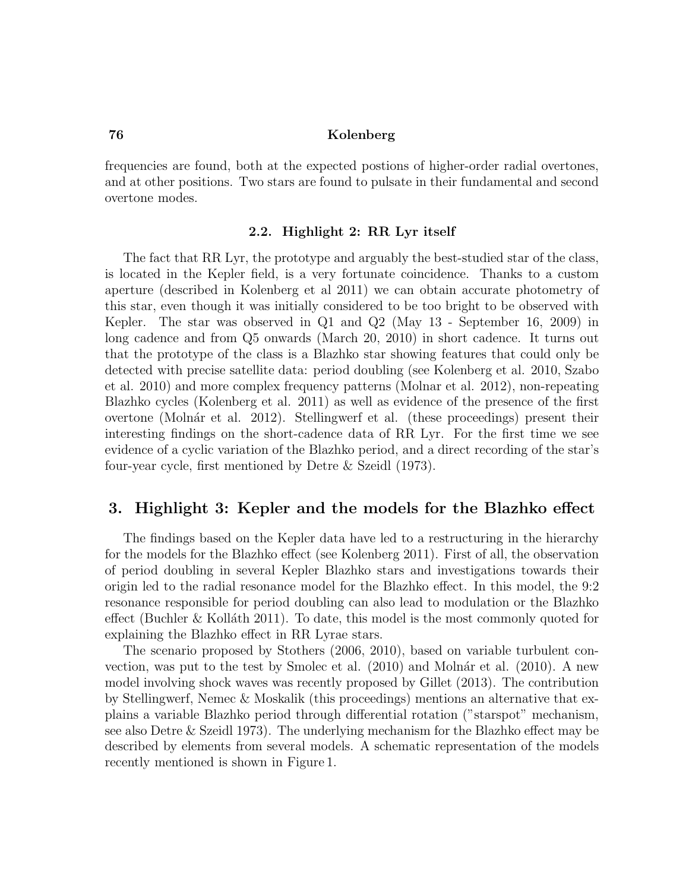#### 76 Kolenberg

frequencies are found, both at the expected postions of higher-order radial overtones, and at other positions. Two stars are found to pulsate in their fundamental and second overtone modes.

### 2.2. Highlight 2: RR Lyr itself

The fact that RR Lyr, the prototype and arguably the best-studied star of the class, is located in the Kepler field, is a very fortunate coincidence. Thanks to a custom aperture (described in Kolenberg et al 2011) we can obtain accurate photometry of this star, even though it was initially considered to be too bright to be observed with Kepler. The star was observed in Q1 and Q2 (May 13 - September 16, 2009) in long cadence and from Q5 onwards (March 20, 2010) in short cadence. It turns out that the prototype of the class is a Blazhko star showing features that could only be detected with precise satellite data: period doubling (see Kolenberg et al. 2010, Szabo et al. 2010) and more complex frequency patterns (Molnar et al. 2012), non-repeating Blazhko cycles (Kolenberg et al. 2011) as well as evidence of the presence of the first overtone (Molnár et al. 2012). Stellingwerf et al. (these proceedings) present their interesting findings on the short-cadence data of RR Lyr. For the first time we see evidence of a cyclic variation of the Blazhko period, and a direct recording of the star's four-year cycle, first mentioned by Detre & Szeidl (1973).

## 3. Highlight 3: Kepler and the models for the Blazhko effect

The findings based on the Kepler data have led to a restructuring in the hierarchy for the models for the Blazhko effect (see Kolenberg 2011). First of all, the observation of period doubling in several Kepler Blazhko stars and investigations towards their origin led to the radial resonance model for the Blazhko effect. In this model, the 9:2 resonance responsible for period doubling can also lead to modulation or the Blazhko effect (Buchler  $\&$  Kolláth 2011). To date, this model is the most commonly quoted for explaining the Blazhko effect in RR Lyrae stars.

The scenario proposed by Stothers (2006, 2010), based on variable turbulent convection, was put to the test by Smolec et al.  $(2010)$  and Molnár et al.  $(2010)$ . A new model involving shock waves was recently proposed by Gillet (2013). The contribution by Stellingwerf, Nemec & Moskalik (this proceedings) mentions an alternative that explains a variable Blazhko period through differential rotation ("starspot" mechanism, see also Detre & Szeidl 1973). The underlying mechanism for the Blazhko effect may be described by elements from several models. A schematic representation of the models recently mentioned is shown in Figure 1.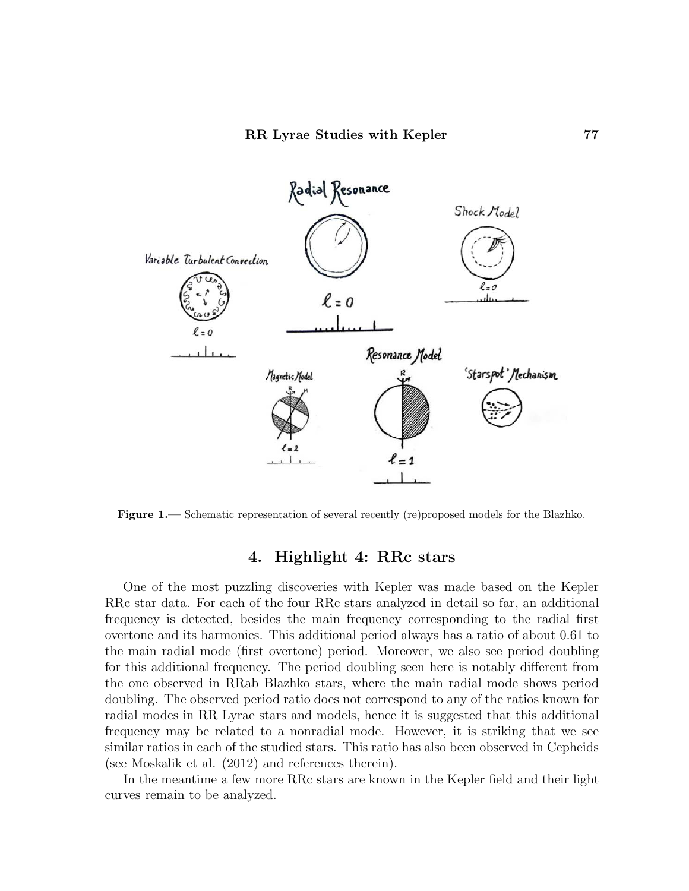

Figure 1.— Schematic representation of several recently (re)proposed models for the Blazhko.

# 4. Highlight 4: RRc stars

One of the most puzzling discoveries with Kepler was made based on the Kepler RRc star data. For each of the four RRc stars analyzed in detail so far, an additional frequency is detected, besides the main frequency corresponding to the radial first overtone and its harmonics. This additional period always has a ratio of about 0.61 to the main radial mode (first overtone) period. Moreover, we also see period doubling for this additional frequency. The period doubling seen here is notably different from the one observed in RRab Blazhko stars, where the main radial mode shows period doubling. The observed period ratio does not correspond to any of the ratios known for radial modes in RR Lyrae stars and models, hence it is suggested that this additional frequency may be related to a nonradial mode. However, it is striking that we see similar ratios in each of the studied stars. This ratio has also been observed in Cepheids (see Moskalik et al. (2012) and references therein).

In the meantime a few more RRc stars are known in the Kepler field and their light curves remain to be analyzed.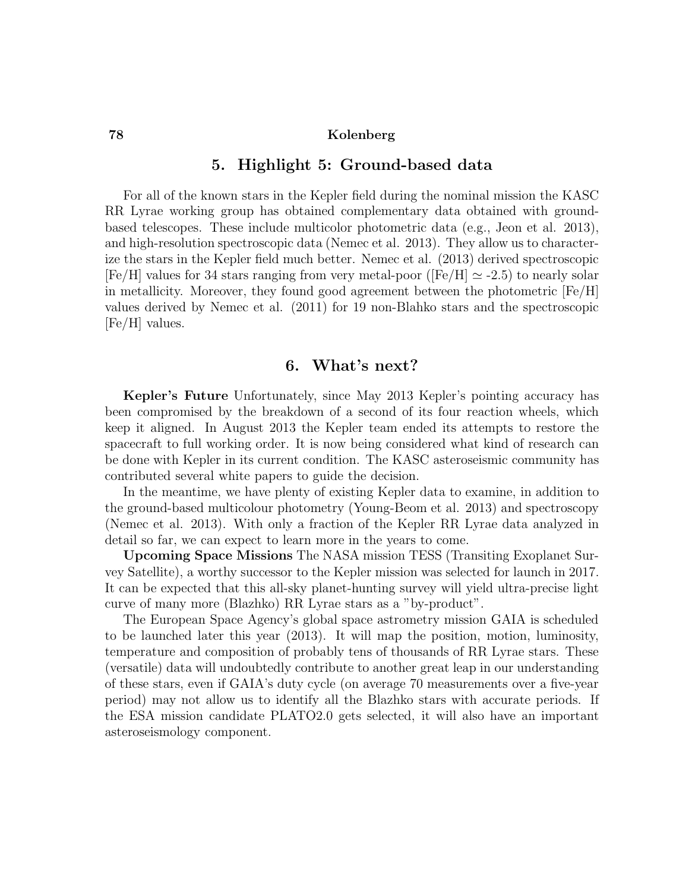#### 78 Kolenberg

# 5. Highlight 5: Ground-based data

For all of the known stars in the Kepler field during the nominal mission the KASC RR Lyrae working group has obtained complementary data obtained with groundbased telescopes. These include multicolor photometric data (e.g., Jeon et al. 2013), and high-resolution spectroscopic data (Nemec et al. 2013). They allow us to characterize the stars in the Kepler field much better. Nemec et al. (2013) derived spectroscopic  $[Fe/H]$  values for 34 stars ranging from very metal-poor ( $[Fe/H] \simeq -2.5$ ) to nearly solar in metallicity. Moreover, they found good agreement between the photometric  $[Fe/H]$ values derived by Nemec et al. (2011) for 19 non-Blahko stars and the spectroscopic [Fe/H] values.

# 6. What's next?

Kepler's Future Unfortunately, since May 2013 Kepler's pointing accuracy has been compromised by the breakdown of a second of its four reaction wheels, which keep it aligned. In August 2013 the Kepler team ended its attempts to restore the spacecraft to full working order. It is now being considered what kind of research can be done with Kepler in its current condition. The KASC asteroseismic community has contributed several white papers to guide the decision.

In the meantime, we have plenty of existing Kepler data to examine, in addition to the ground-based multicolour photometry (Young-Beom et al. 2013) and spectroscopy (Nemec et al. 2013). With only a fraction of the Kepler RR Lyrae data analyzed in detail so far, we can expect to learn more in the years to come.

Upcoming Space Missions The NASA mission TESS (Transiting Exoplanet Survey Satellite), a worthy successor to the Kepler mission was selected for launch in 2017. It can be expected that this all-sky planet-hunting survey will yield ultra-precise light curve of many more (Blazhko) RR Lyrae stars as a "by-product".

The European Space Agency's global space astrometry mission GAIA is scheduled to be launched later this year (2013). It will map the position, motion, luminosity, temperature and composition of probably tens of thousands of RR Lyrae stars. These (versatile) data will undoubtedly contribute to another great leap in our understanding of these stars, even if GAIA's duty cycle (on average 70 measurements over a five-year period) may not allow us to identify all the Blazhko stars with accurate periods. If the ESA mission candidate PLATO2.0 gets selected, it will also have an important asteroseismology component.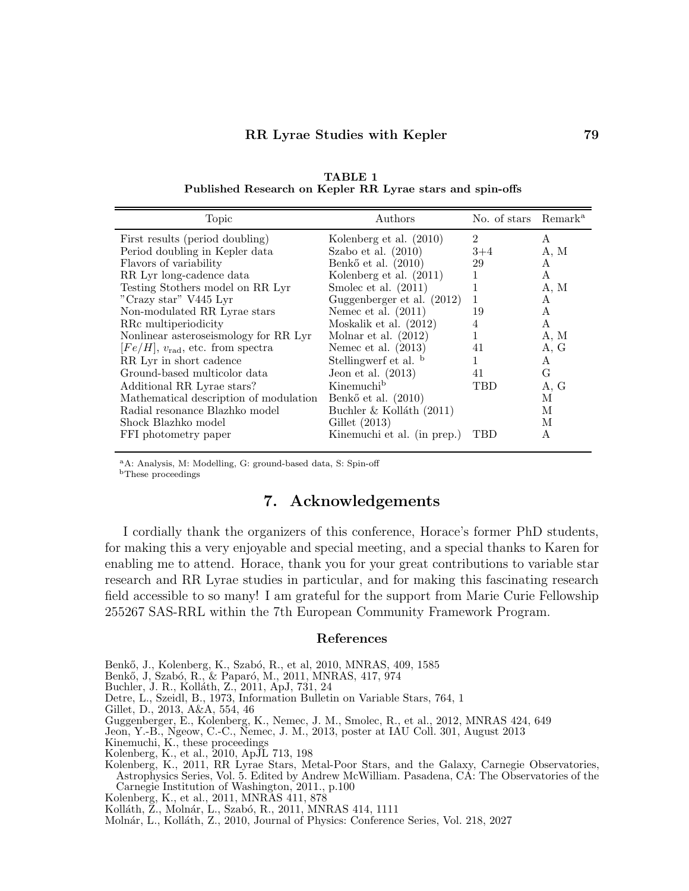| Topic                                       | Authors                      | No. of stars Remark <sup>a</sup> |      |
|---------------------------------------------|------------------------------|----------------------------------|------|
| First results (period doubling)             | Kolenberg et al. (2010)      | $\mathfrak{D}$                   | A    |
| Period doubling in Kepler data              | Szabo et al. $(2010)$        | $3 + 4$                          | A, M |
| Flavors of variability                      | Benkő et al. $(2010)$        | 29                               | A    |
| RR Lyr long-cadence data                    | Kolenberg et al. (2011)      | 1                                | A    |
| Testing Stothers model on RR Lyr            | Smolec et al. $(2011)$       | 1                                | A, M |
| "Crazy star" V445 Lyr                       | Guggenberger et al. $(2012)$ | 1                                | A    |
| Non-modulated RR Lyrae stars                | Nemec et al. $(2011)$        | 19                               | A    |
| RRc multiperiodicity                        | Moskalik et al. $(2012)$     | 4                                | A    |
| Nonlinear asteroseismology for RR Lyr       | Molnar et al. $(2012)$       | 1                                | A, M |
| $[Fe/H], v_{\text{rad}},$ etc. from spectra | Nemec et al. $(2013)$        | 41                               | A, G |
| RR Lyr in short cadence                     | Stellingwerf et al. b        |                                  | A    |
| Ground-based multicolor data                | Jeon et al. $(2013)$         | 41                               | G    |
| Additional RR Lyrae stars?                  | Kinemuchi <sup>b</sup>       | <b>TBD</b>                       | A, G |
| Mathematical description of modulation      | Benkő et al. $(2010)$        |                                  | М    |
| Radial resonance Blazhko model              | Buchler & Kolláth (2011)     |                                  | М    |
| Shock Blazhko model                         | Gillet $(2013)$              |                                  | М    |
| FFI photometry paper                        | Kinemuchi et al. (in prep.)  | TBD                              | A    |

TABLE 1 Published Research on Kepler RR Lyrae stars and spin-offs

<sup>a</sup>A: Analysis, M: Modelling, G: ground-based data, S: Spin-off

<sup>b</sup>These proceedings

# 7. Acknowledgements

I cordially thank the organizers of this conference, Horace's former PhD students, for making this a very enjoyable and special meeting, and a special thanks to Karen for enabling me to attend. Horace, thank you for your great contributions to variable star research and RR Lyrae studies in particular, and for making this fascinating research field accessible to so many! I am grateful for the support from Marie Curie Fellowship 255267 SAS-RRL within the 7th European Community Framework Program.

#### References

Benkő, J., Kolenberg, K., Szabó, R., et al, 2010, MNRAS, 409, 1585

Benkő, J. Szabó, R., & Paparó, M., 2011, MNRAS, 417, 974

Buchler, J. R., Koll´ath, Z., 2011, ApJ, 731, 24

Detre, L., Szeidl, B., 1973, Information Bulletin on Variable Stars, 764, 1

Gillet, D., 2013, A&A, 554, 46

Guggenberger, E., Kolenberg, K., Nemec, J. M., Smolec, R., et al., 2012, MNRAS 424, 649

Jeon, Y.-B., Ngeow, C.-C., Nemec, J. M., 2013, poster at IAU Coll. 301, August 2013

Kinemuchi, K., these proceedings

Kolenberg, K., et al., 2010, ApJL 713, 198

Kolenberg, K., 2011, RR Lyrae Stars, Metal-Poor Stars, and the Galaxy, Carnegie Observatories, Astrophysics Series, Vol. 5. Edited by Andrew McWilliam. Pasadena, CA: The Observatories of the Carnegie Institution of Washington, 2011., p.100

Kolenberg, K., et al., 2011, MNRAS 411, 878

Kolláth, Ž., Molnár, L., Szabó, R., 2011, MNRAS 414, 1111

Molnár, L., Kolláth, Z., 2010, Journal of Physics: Conference Series, Vol. 218, 2027